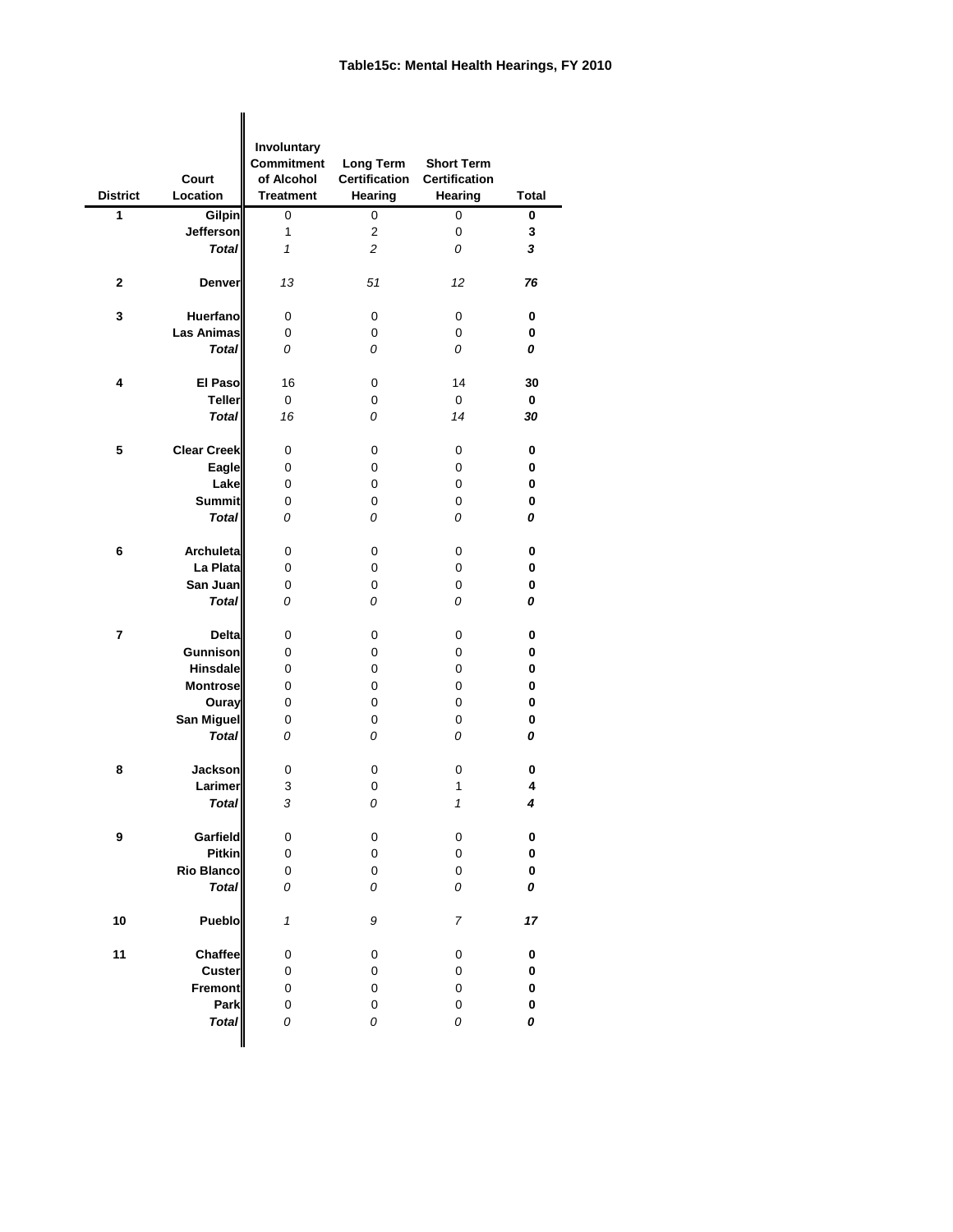## **Table15c: Mental Health Hearings, FY 2010**

|                         |                    | Involuntary                |                                  |                      |              |
|-------------------------|--------------------|----------------------------|----------------------------------|----------------------|--------------|
|                         |                    | <b>Commitment</b>          | <b>Long Term</b>                 | <b>Short Term</b>    |              |
|                         | <b>Court</b>       | of Alcohol                 | <b>Certification</b>             | <b>Certification</b> |              |
| <b>District</b>         | Location           | <b>Treatment</b>           | <b>Hearing</b>                   | <b>Hearing</b>       | <b>Total</b> |
| 1                       | Gilpin             | 0                          | 0                                | 0                    | 0            |
|                         | <b>Jefferson</b>   | 1                          | $\overline{2}$<br>$\overline{c}$ | 0                    | 3            |
|                         | <b>Total</b>       | 1                          |                                  | 0                    | 3            |
| $\mathbf{2}$            | <b>Denver</b>      | 13                         | 51                               | 12                   | 76           |
| 3                       | <b>Huerfano</b>    | $\mathbf 0$                | 0                                | 0                    | $\bf{0}$     |
|                         | Las Animas         | 0                          | 0                                | 0                    | 0            |
|                         | <b>Total</b>       | 0                          | 0                                | 0                    | 0            |
|                         | <b>El Paso</b>     | 16                         |                                  | 14                   | 30           |
| 4                       | <b>Teller</b>      | 0                          | 0<br>0                           | $\mathbf 0$          | 0            |
|                         | <b>Total</b>       | 16                         | 0                                | 14                   | 30           |
|                         |                    |                            |                                  |                      |              |
| 5                       | <b>Clear Creek</b> | $\mathbf 0$                | 0                                | 0                    | 0            |
|                         | Eagle              | $\mathbf 0$                | 0                                | 0                    | 0            |
|                         | Lake               | 0                          | 0                                | 0                    | 0            |
|                         | <b>Summit</b>      | 0                          | $\mathbf 0$                      | 0                    | $\bf{0}$     |
|                         | <b>Total</b>       | 0                          | 0                                | 0                    | 0            |
| 6                       | <b>Archuleta</b>   | 0                          | 0                                | 0                    | 0            |
|                         | La Plata           | 0                          | 0                                | 0                    | 0            |
|                         | San Juan           | 0                          | 0                                | 0                    | 0            |
|                         | <b>Total</b>       | 0                          | 0                                | 0                    | 0            |
| $\overline{\mathbf{r}}$ | <b>Delta</b>       | 0                          | 0                                | 0                    | 0            |
|                         | Gunnison           | 0                          | 0                                | 0                    | 0            |
|                         | <b>Hinsdale</b>    | 0                          | 0                                | 0                    | 0            |
|                         | <b>Montrose</b>    | 0                          | 0                                | 0                    | 0            |
|                         | Ouray              | 0                          | 0                                | 0                    | 0            |
|                         | San Miguel         | $\pmb{0}$                  | 0                                | 0                    | 0            |
|                         | <b>Total</b>       | 0                          | 0                                | 0                    | 0            |
| 8                       | <b>Jackson</b>     | 0                          | 0                                | 0                    | $\pmb{0}$    |
|                         | Larimer            | $\ensuremath{\mathsf{3}}$  | $\pmb{0}$                        | 1                    | 4            |
|                         | <b>Total</b>       | 3                          | 0                                | $\mathcal I$         | 4            |
| 9                       | Garfield           | 0                          | 0                                | 0                    | $\pmb{0}$    |
|                         | <b>Pitkin</b>      | 0                          | $\mathbf 0$                      | 0                    | $\pmb{0}$    |
|                         | <b>Rio Blanco</b>  | 0                          | $\mathsf 0$                      | 0                    | $\pmb{0}$    |
|                         | <b>Total</b>       | 0                          | 0                                | 0                    | 0            |
| 10                      | <b>Pueblo</b>      | $\boldsymbol{\mathcal{L}}$ | 9                                | 7                    | 17           |
| 11                      | Chaffee            | 0                          | 0                                | 0                    | $\pmb{0}$    |
|                         | Custer             | $\boldsymbol{0}$           | $\mathbf 0$                      | 0                    | $\pmb{0}$    |
|                         | Fremont            | $\pmb{0}$                  | $\mathbf 0$                      | 0                    | $\pmb{0}$    |
|                         | <b>Park</b>        | 0                          | 0                                | 0                    | $\pmb{0}$    |
|                         | <b>Total</b>       | 0                          | 0                                | 0                    | 0            |